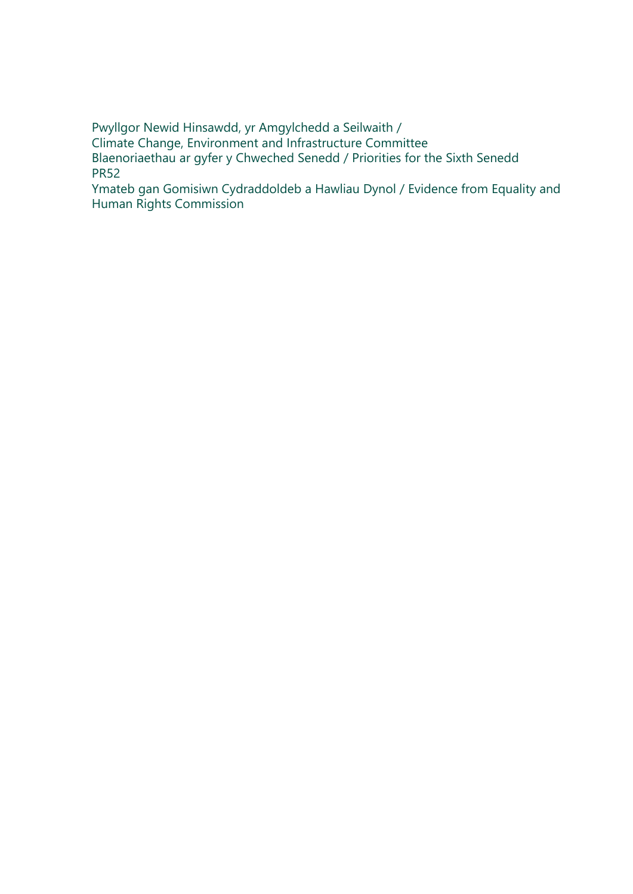Pwyllgor Newid Hinsawdd, yr Amgylchedd a Seilwaith / Climate Change, Environment and Infrastructure Committee Blaenoriaethau ar gyfer y Chweched Senedd / Priorities for the Sixth Senedd PR52

Ymateb gan Gomisiwn Cydraddoldeb a Hawliau Dynol / Evidence from Equality and Human Rights Commission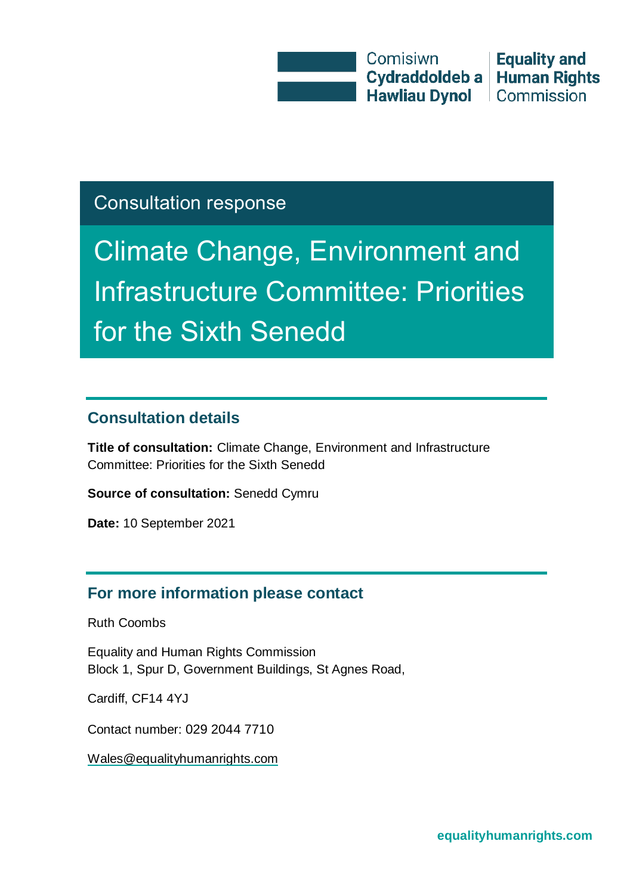**Comisiwn** Cydraddoldeb a Hawliau Dynol Commission

**Equality and Human Rights** 

## Consultation response

Climate Change, Environment and Infrastructure Committee: Priorities for the Sixth Senedd

#### **Consultation details**

**Title of consultation:** Climate Change, Environment and Infrastructure Committee: Priorities for the Sixth Senedd

**Source of consultation:** Senedd Cymru

**Date:** 10 September 2021

#### **For more information please contact**

Ruth Coombs

Equality and Human Rights Commission Block 1, Spur D, Government Buildings, St Agnes Road,

Cardiff, CF14 4YJ

Contact number: 029 2044 7710

Wales@equalityhumanrights.com

**[equalityhumanrights.com](http://www.equalityhumanrights.com/)**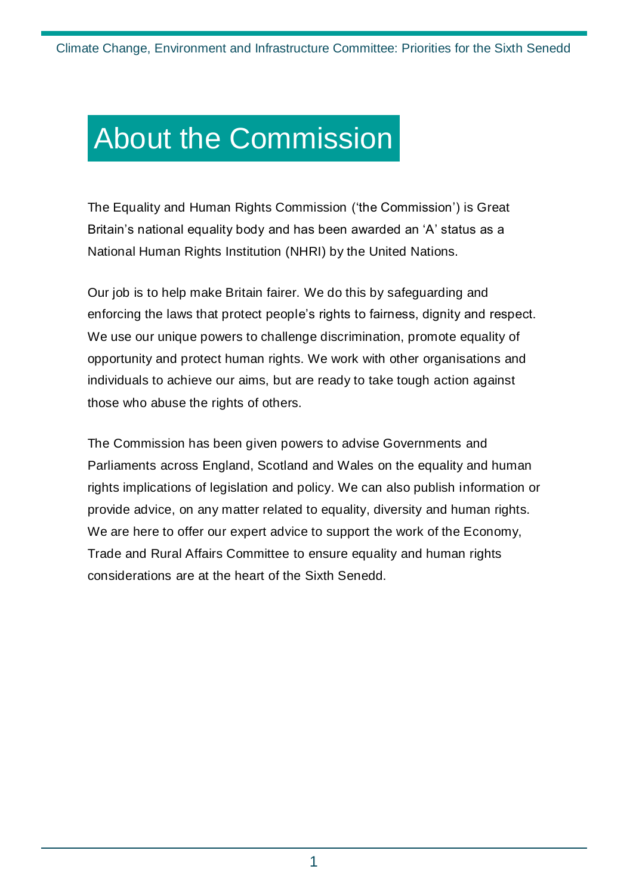## About the Commission

The Equality and Human Rights Commission ('the Commission') is Great Britain's national equality body and has been awarded an 'A' status as a National Human Rights Institution (NHRI) by the United Nations.

Our job is to help make Britain fairer. We do this by safeguarding and enforcing the laws that protect people's rights to fairness, dignity and respect. We use our unique powers to challenge discrimination, promote equality of opportunity and protect human rights. We work with other organisations and individuals to achieve our aims, but are ready to take tough action against those who abuse the rights of others.

The Commission has been given powers to advise Governments and Parliaments across England, Scotland and Wales on the equality and human rights implications of legislation and policy. We can also publish information or provide advice, on any matter related to equality, diversity and human rights. We are here to offer our expert advice to support the work of the Economy, Trade and Rural Affairs Committee to ensure equality and human rights considerations are at the heart of the Sixth Senedd.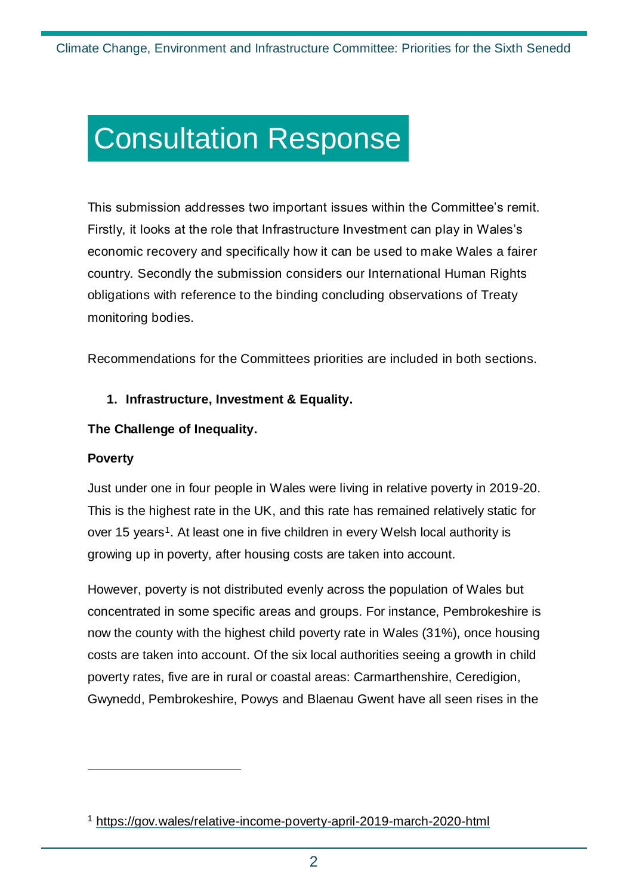## Consultation Response

This submission addresses two important issues within the Committee's remit. Firstly, it looks at the role that Infrastructure Investment can play in Wales's economic recovery and specifically how it can be used to make Wales a fairer country. Secondly the submission considers our International Human Rights obligations with reference to the binding concluding observations of Treaty monitoring bodies.

Recommendations for the Committees priorities are included in both sections.

#### **1. Infrastructure, Investment & Equality.**

#### **The Challenge of Inequality.**

#### **Poverty**

 $\overline{a}$ 

Just under one in four people in Wales were living in relative poverty in 2019-20. This is the highest rate in the UK, and this rate has remained relatively static for over 15 years<sup>1</sup>. At least one in five children in every Welsh local authority is growing up in poverty, after housing costs are taken into account.

However, poverty is not distributed evenly across the population of Wales but concentrated in some specific areas and groups. For instance, Pembrokeshire is now the county with the highest child poverty rate in Wales (31%), once housing costs are taken into account. Of the six local authorities seeing a growth in child poverty rates, five are in rural or coastal areas: Carmarthenshire, Ceredigion, Gwynedd, Pembrokeshire, Powys and Blaenau Gwent have all seen rises in the

<sup>1</sup> <https://gov.wales/relative-income-poverty-april-2019-march-2020-html>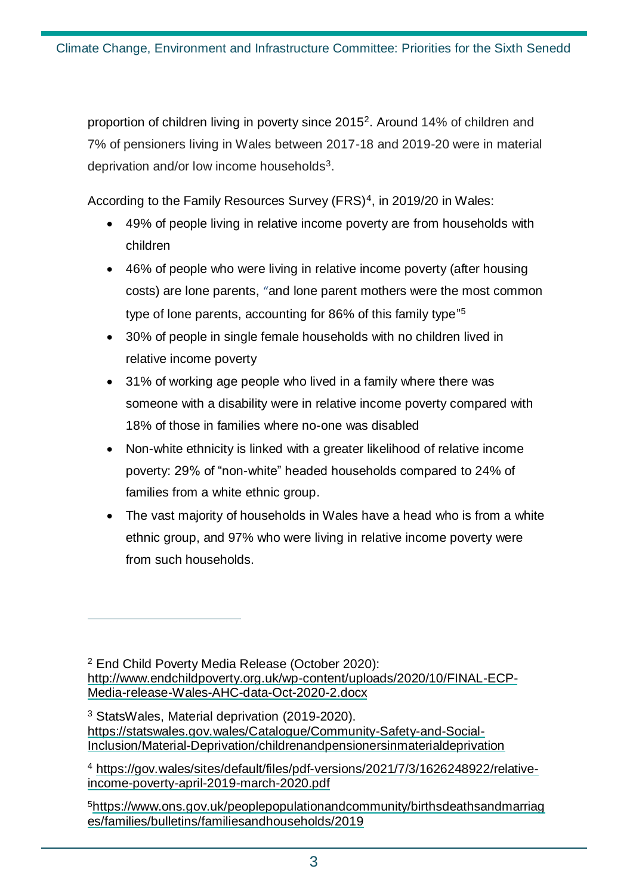proportion of children living in poverty since 2015<sup>2</sup>. Around 14% of children and 7% of pensioners living in Wales between 2017-18 and 2019-20 were in material deprivation and/or low income households<sup>3</sup>.

According to the Family Resources Survey (FRS)<sup>4</sup>, in 2019/20 in Wales:

- 49% of people living in relative income poverty are from households with children
- 46% of people who were living in relative income poverty (after housing costs) are lone parents, "and lone parent mothers were the most common type of lone parents, accounting for 86% of this family type" 5
- 30% of people in single female households with no children lived in relative income poverty
- 31% of working age people who lived in a family where there was someone with a disability were in relative income poverty compared with 18% of those in families where no-one was disabled
- Non-white ethnicity is linked with a greater likelihood of relative income poverty: 29% of "non-white" headed households compared to 24% of families from a white ethnic group.
- The vast majority of households in Wales have a head who is from a white ethnic group, and 97% who were living in relative income poverty were from such households.

<sup>2</sup> End Child Poverty Media Release (October 2020): [http://www.endchildpoverty.org.uk/wp-content/uploads/2020/10/FINAL-ECP-](http://www.endchildpoverty.org.uk/wp-content/uploads/2020/10/FINAL-ECP-Media-release-Wales-AHC-data-Oct-2020-2.docx)[Media-release-Wales-AHC-data-Oct-2020-2.docx](http://www.endchildpoverty.org.uk/wp-content/uploads/2020/10/FINAL-ECP-Media-release-Wales-AHC-data-Oct-2020-2.docx)

<sup>3</sup> StatsWales, Material deprivation (2019-2020). [https://statswales.gov.wales/Catalogue/Community-Safety-and-Social-](https://statswales.gov.wales/Catalogue/Community-Safety-and-Social-Inclusion/Material-Deprivation/childrenandpensionersinmaterialdeprivation)[Inclusion/Material-Deprivation/childrenandpensionersinmaterialdeprivation](https://statswales.gov.wales/Catalogue/Community-Safety-and-Social-Inclusion/Material-Deprivation/childrenandpensionersinmaterialdeprivation)

<sup>4</sup> [https://gov.wales/sites/default/files/pdf-versions/2021/7/3/1626248922/relative](https://gov.wales/sites/default/files/pdf-versions/2021/7/3/1626248922/relative-income-poverty-april-2019-march-2020.pdf)[income-poverty-april-2019-march-2020.pdf](https://gov.wales/sites/default/files/pdf-versions/2021/7/3/1626248922/relative-income-poverty-april-2019-march-2020.pdf)

<sup>5</sup>[https://www.ons.gov.uk/peoplepopulationandcommunity/birthsdeathsandmarriag](https://www.ons.gov.uk/peoplepopulationandcommunity/birthsdeathsandmarriages/families/bulletins/familiesandhouseholds/2019) [es/families/bulletins/familiesandhouseholds/2019](https://www.ons.gov.uk/peoplepopulationandcommunity/birthsdeathsandmarriages/families/bulletins/familiesandhouseholds/2019)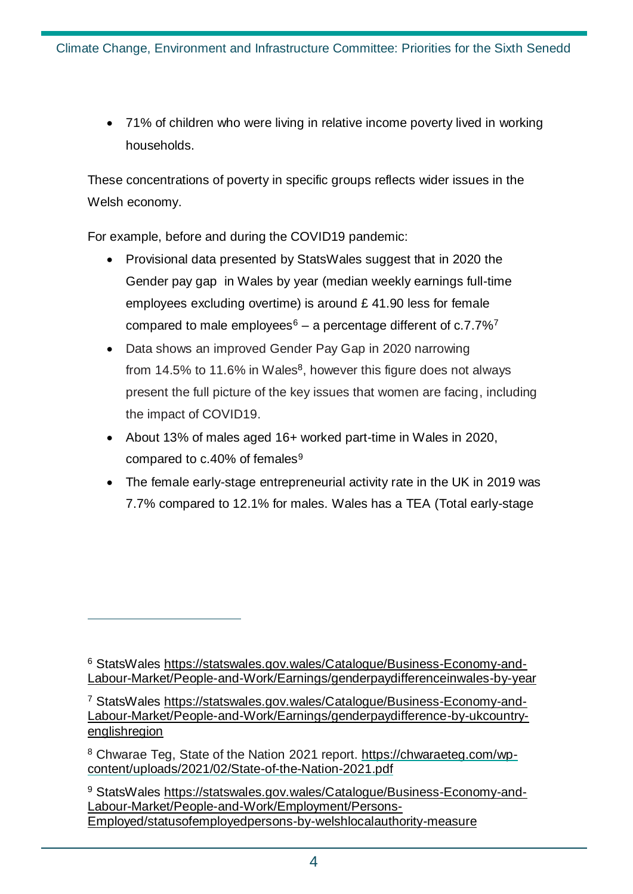71% of children who were living in relative income poverty lived in working households.

These concentrations of poverty in specific groups reflects wider issues in the Welsh economy.

For example, before and during the COVID19 pandemic:

- Provisional data presented by StatsWales suggest that in 2020 the Gender pay gap in Wales by year (median weekly earnings full-time employees excluding overtime) is around £ 41.90 less for female compared to male employees<sup>6</sup> – a percentage different of  $c.7.7\%$ <sup>7</sup>
- Data shows an improved Gender Pay Gap in 2020 narrowing from 14.5% to 11.6% in Wales $8$ , however this figure does not always present the full picture of the key issues that women are facing, including the impact of COVID19.
- About 13% of males aged 16+ worked part-time in Wales in 2020, compared to  $c.40%$  of females<sup>9</sup>
- The female early-stage entrepreneurial activity rate in the UK in 2019 was 7.7% compared to 12.1% for males. Wales has a TEA (Total early-stage

<sup>6</sup> StatsWales [https://statswales.gov.wales/Catalogue/Business-Economy-and-](https://statswales.gov.wales/Catalogue/Business-Economy-and-Labour-Market/People-and-Work/Earnings/genderpaydifferenceinwales-by-year)[Labour-Market/People-and-Work/Earnings/genderpaydifferenceinwales-by-year](https://statswales.gov.wales/Catalogue/Business-Economy-and-Labour-Market/People-and-Work/Earnings/genderpaydifferenceinwales-by-year)

<sup>7</sup> StatsWales [https://statswales.gov.wales/Catalogue/Business-Economy-and-](https://statswales.gov.wales/Catalogue/Business-Economy-and-Labour-Market/People-and-Work/Earnings/genderpaydifference-by-ukcountry-englishregion)[Labour-Market/People-and-Work/Earnings/genderpaydifference-by-ukcountry](https://statswales.gov.wales/Catalogue/Business-Economy-and-Labour-Market/People-and-Work/Earnings/genderpaydifference-by-ukcountry-englishregion)[englishregion](https://statswales.gov.wales/Catalogue/Business-Economy-and-Labour-Market/People-and-Work/Earnings/genderpaydifference-by-ukcountry-englishregion)

<sup>8</sup> Chwarae Teg, State of the Nation 2021 report. [https://chwaraeteg.com/wp](https://chwaraeteg.com/wp-content/uploads/2021/02/State-of-the-Nation-2021.pdf)[content/uploads/2021/02/State-of-the-Nation-2021.pdf](https://chwaraeteg.com/wp-content/uploads/2021/02/State-of-the-Nation-2021.pdf)

<sup>9</sup> StatsWales [https://statswales.gov.wales/Catalogue/Business-Economy-and-](https://statswales.gov.wales/Catalogue/Business-Economy-and-Labour-Market/People-and-Work/Employment/Persons-Employed/statusofemployedpersons-by-welshlocalauthority-measure)[Labour-Market/People-and-Work/Employment/Persons-](https://statswales.gov.wales/Catalogue/Business-Economy-and-Labour-Market/People-and-Work/Employment/Persons-Employed/statusofemployedpersons-by-welshlocalauthority-measure)[Employed/statusofemployedpersons-by-welshlocalauthority-measure](https://statswales.gov.wales/Catalogue/Business-Economy-and-Labour-Market/People-and-Work/Employment/Persons-Employed/statusofemployedpersons-by-welshlocalauthority-measure)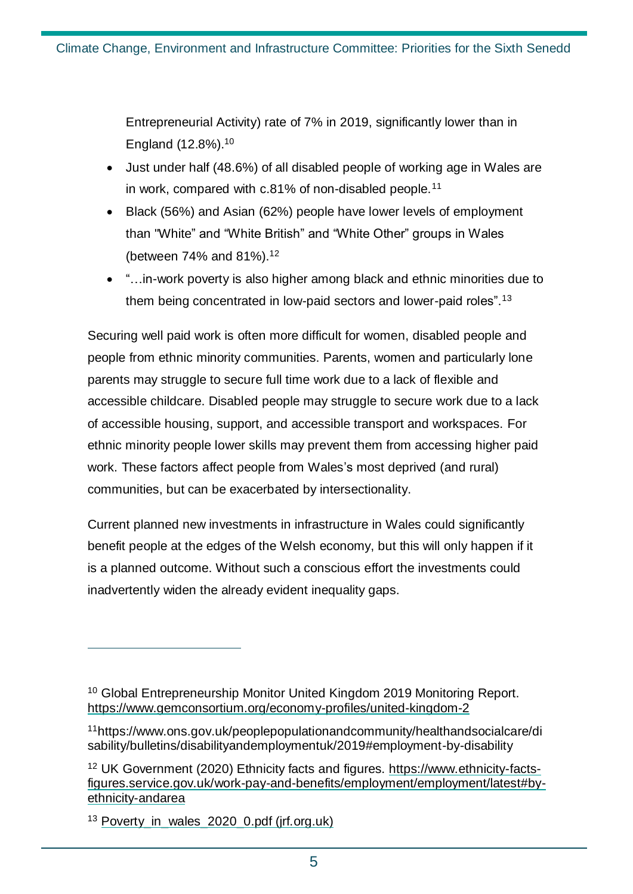Entrepreneurial Activity) rate of 7% in 2019, significantly lower than in England (12.8%).<sup>10</sup>

- Just under half (48.6%) of all disabled people of working age in Wales are in work, compared with c.81% of non-disabled people.<sup>11</sup>
- Black (56%) and Asian (62%) people have lower levels of employment than "White" and "White British" and "White Other" groups in Wales (between 74% and 81%). 12
- "…in-work poverty is also higher among black and ethnic minorities due to them being concentrated in low-paid sectors and lower-paid roles".<sup>13</sup>

Securing well paid work is often more difficult for women, disabled people and people from ethnic minority communities. Parents, women and particularly lone parents may struggle to secure full time work due to a lack of flexible and accessible childcare. Disabled people may struggle to secure work due to a lack of accessible housing, support, and accessible transport and workspaces. For ethnic minority people lower skills may prevent them from accessing higher paid work. These factors affect people from Wales's most deprived (and rural) communities, but can be exacerbated by intersectionality.

Current planned new investments in infrastructure in Wales could significantly benefit people at the edges of the Welsh economy, but this will only happen if it is a planned outcome. Without such a conscious effort the investments could inadvertently widen the already evident inequality gaps.

<sup>&</sup>lt;sup>10</sup> Global Entrepreneurship Monitor United Kingdom 2019 Monitoring Report. <https://www.gemconsortium.org/economy-profiles/united-kingdom-2>

<sup>11</sup>https://www.ons.gov.uk/peoplepopulationandcommunity/healthandsocialcare/di sability/bulletins/disabilityandemploymentuk/2019#employment-by-disability

<sup>12</sup> UK Government (2020) Ethnicity facts and figures. [https://www.ethnicity-facts](https://www.ethnicity-facts-figures.service.gov.uk/work-pay-and-benefits/employment/employment/latest#by-ethnicity-andarea)[figures.service.gov.uk/work-pay-and-benefits/employment/employment/latest#by](https://www.ethnicity-facts-figures.service.gov.uk/work-pay-and-benefits/employment/employment/latest#by-ethnicity-andarea)[ethnicity-andarea](https://www.ethnicity-facts-figures.service.gov.uk/work-pay-and-benefits/employment/employment/latest#by-ethnicity-andarea)

<sup>&</sup>lt;sup>13</sup> Poverty in wales  $2020$  0.pdf (jrf.org.uk)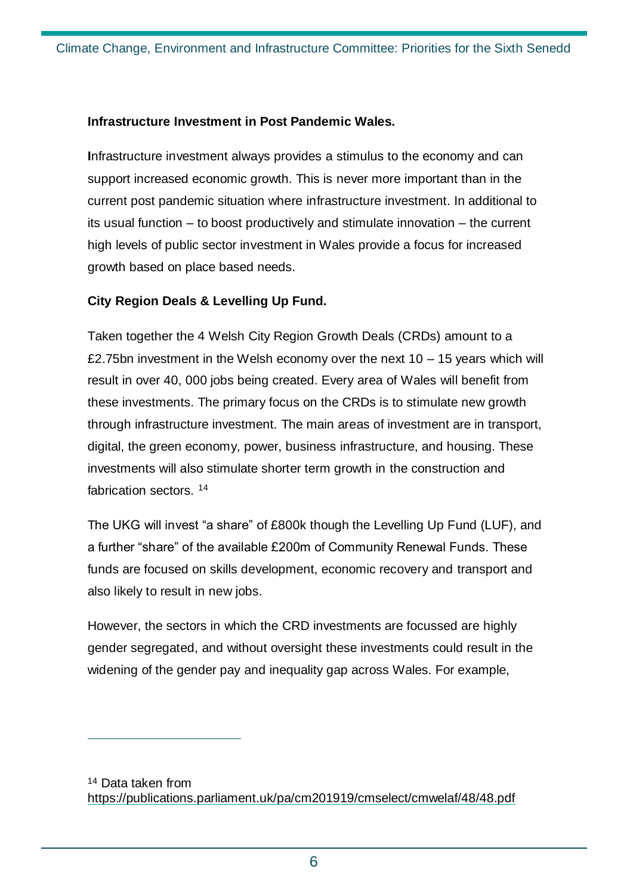#### **Infrastructure Investment in Post Pandemic Wales.**

**I**nfrastructure investment always provides a stimulus to the economy and can support increased economic growth. This is never more important than in the current post pandemic situation where infrastructure investment. In additional to its usual function – to boost productively and stimulate innovation – the current high levels of public sector investment in Wales provide a focus for increased growth based on place based needs.

#### **City Region Deals & Levelling Up Fund.**

 $\overline{a}$ 

Taken together the 4 Welsh City Region Growth Deals (CRDs) amount to a £2.75bn investment in the Welsh economy over the next  $10 - 15$  years which will result in over 40, 000 jobs being created. Every area of Wales will benefit from these investments. The primary focus on the CRDs is to stimulate new growth through infrastructure investment. The main areas of investment are in transport, digital, the green economy, power, business infrastructure, and housing. These investments will also stimulate shorter term growth in the construction and fabrication sectors. <sup>14</sup>

The UKG will invest "a share" of £800k though the Levelling Up Fund (LUF), and a further "share" of the available £200m of Community Renewal Funds. These funds are focused on skills development, economic recovery and transport and also likely to result in new jobs.

However, the sectors in which the CRD investments are focussed are highly gender segregated, and without oversight these investments could result in the widening of the gender pay and inequality gap across Wales. For example,

<sup>14</sup> Data taken from <https://publications.parliament.uk/pa/cm201919/cmselect/cmwelaf/48/48.pdf>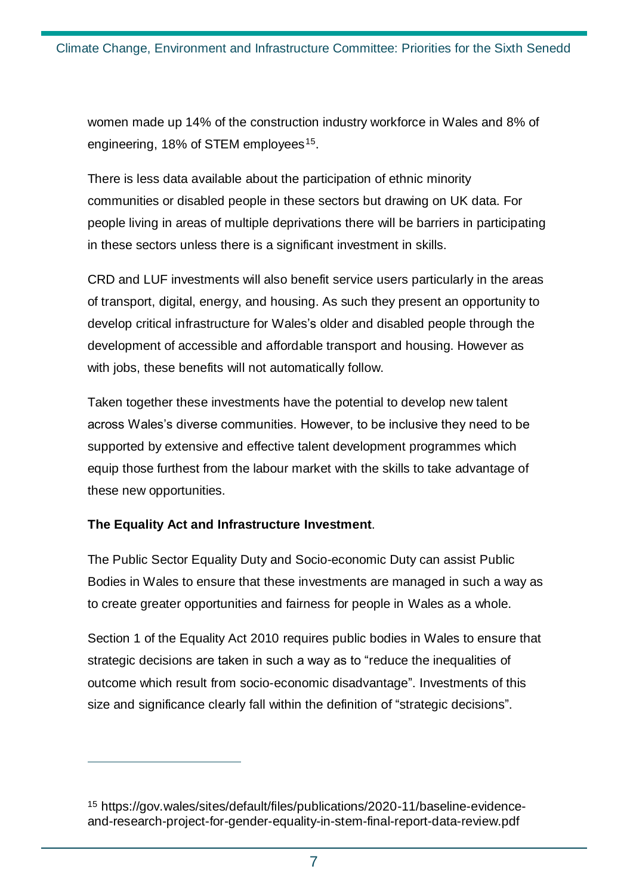women made up 14% of the construction industry workforce in Wales and 8% of engineering, 18% of STEM employees<sup>15</sup>.

There is less data available about the participation of ethnic minority communities or disabled people in these sectors but drawing on UK data. For people living in areas of multiple deprivations there will be barriers in participating in these sectors unless there is a significant investment in skills.

CRD and LUF investments will also benefit service users particularly in the areas of transport, digital, energy, and housing. As such they present an opportunity to develop critical infrastructure for Wales's older and disabled people through the development of accessible and affordable transport and housing. However as with jobs, these benefits will not automatically follow.

Taken together these investments have the potential to develop new talent across Wales's diverse communities. However, to be inclusive they need to be supported by extensive and effective talent development programmes which equip those furthest from the labour market with the skills to take advantage of these new opportunities.

#### **The Equality Act and Infrastructure Investment**.

 $\overline{a}$ 

The Public Sector Equality Duty and Socio-economic Duty can assist Public Bodies in Wales to ensure that these investments are managed in such a way as to create greater opportunities and fairness for people in Wales as a whole.

Section 1 of the Equality Act 2010 requires public bodies in Wales to ensure that strategic decisions are taken in such a way as to "reduce the inequalities of outcome which result from socio-economic disadvantage". Investments of this size and significance clearly fall within the definition of "strategic decisions".

<sup>15</sup> https://gov.wales/sites/default/files/publications/2020-11/baseline-evidenceand-research-project-for-gender-equality-in-stem-final-report-data-review.pdf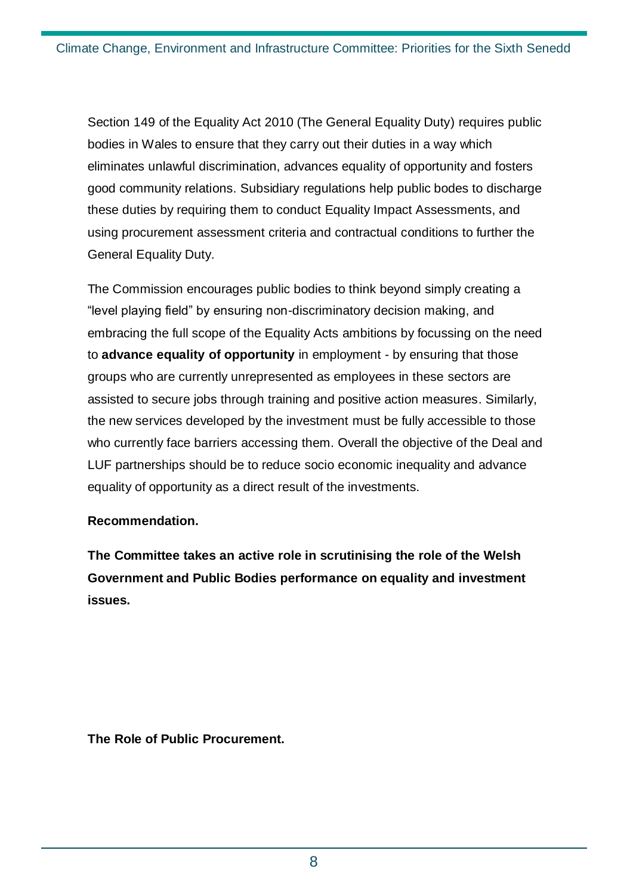Section 149 of the Equality Act 2010 (The General Equality Duty) requires public bodies in Wales to ensure that they carry out their duties in a way which eliminates unlawful discrimination, advances equality of opportunity and fosters good community relations. Subsidiary regulations help public bodes to discharge these duties by requiring them to conduct Equality Impact Assessments, and using procurement assessment criteria and contractual conditions to further the General Equality Duty.

The Commission encourages public bodies to think beyond simply creating a "level playing field" by ensuring non-discriminatory decision making, and embracing the full scope of the Equality Acts ambitions by focussing on the need to **advance equality of opportunity** in employment - by ensuring that those groups who are currently unrepresented as employees in these sectors are assisted to secure jobs through training and positive action measures. Similarly, the new services developed by the investment must be fully accessible to those who currently face barriers accessing them. Overall the objective of the Deal and LUF partnerships should be to reduce socio economic inequality and advance equality of opportunity as a direct result of the investments.

#### **Recommendation.**

**The Committee takes an active role in scrutinising the role of the Welsh Government and Public Bodies performance on equality and investment issues.** 

**The Role of Public Procurement.**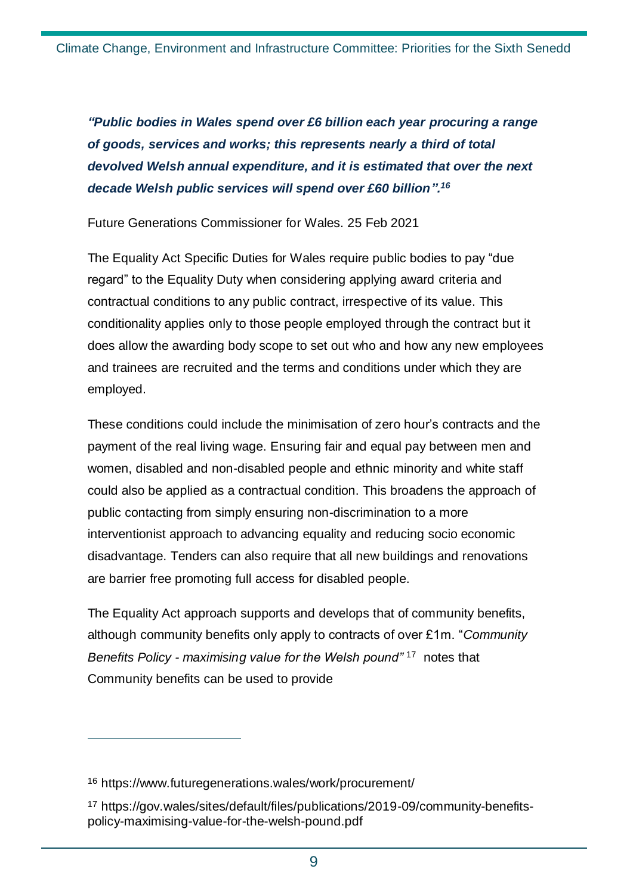*"Public bodies in Wales spend over £6 billion each year procuring a range of goods, services and works; this represents nearly a third of total devolved Welsh annual expenditure, and it is estimated that over the next decade Welsh public services will spend over £60 billion". 16*

Future Generations Commissioner for Wales. 25 Feb 2021

The Equality Act Specific Duties for Wales require public bodies to pay "due regard" to the Equality Duty when considering applying award criteria and contractual conditions to any public contract, irrespective of its value. This conditionality applies only to those people employed through the contract but it does allow the awarding body scope to set out who and how any new employees and trainees are recruited and the terms and conditions under which they are employed.

These conditions could include the minimisation of zero hour's contracts and the payment of the real living wage. Ensuring fair and equal pay between men and women, disabled and non-disabled people and ethnic minority and white staff could also be applied as a contractual condition. This broadens the approach of public contacting from simply ensuring non-discrimination to a more interventionist approach to advancing equality and reducing socio economic disadvantage. Tenders can also require that all new buildings and renovations are barrier free promoting full access for disabled people.

The Equality Act approach supports and develops that of community benefits, although community benefits only apply to contracts of over £1m. "*Community Benefits Policy - maximising value for the Welsh pound"* <sup>17</sup> notes that Community benefits can be used to provide

<sup>16</sup> https://www.futuregenerations.wales/work/procurement/

<sup>17</sup> https://gov.wales/sites/default/files/publications/2019-09/community-benefitspolicy-maximising-value-for-the-welsh-pound.pdf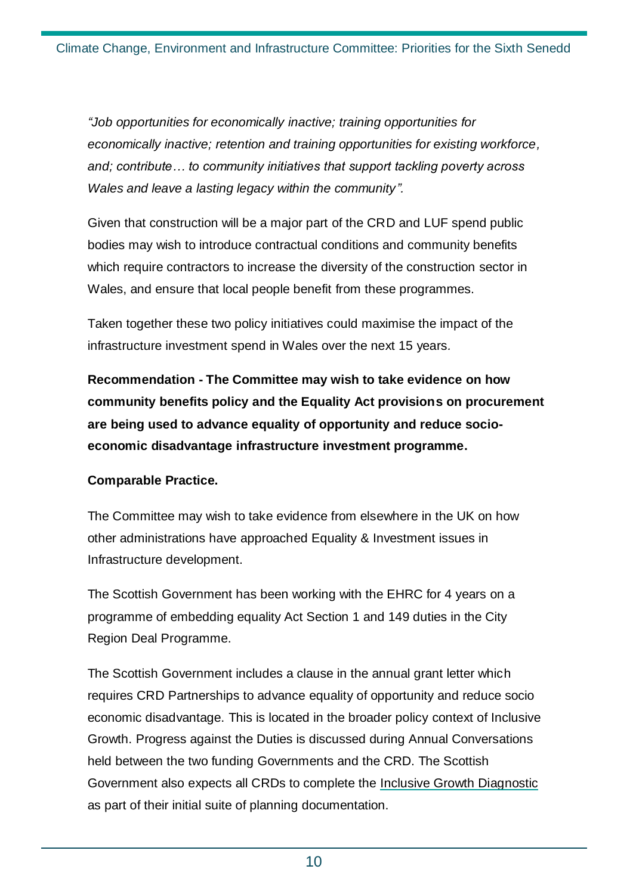*"Job opportunities for economically inactive; training opportunities for economically inactive; retention and training opportunities for existing workforce, and; contribute… to community initiatives that support tackling poverty across Wales and leave a lasting legacy within the community".* 

Given that construction will be a major part of the CRD and LUF spend public bodies may wish to introduce contractual conditions and community benefits which require contractors to increase the diversity of the construction sector in Wales, and ensure that local people benefit from these programmes.

Taken together these two policy initiatives could maximise the impact of the infrastructure investment spend in Wales over the next 15 years*.* 

**Recommendation - The Committee may wish to take evidence on how community benefits policy and the Equality Act provisions on procurement are being used to advance equality of opportunity and reduce socioeconomic disadvantage infrastructure investment programme.**

#### **Comparable Practice.**

The Committee may wish to take evidence from elsewhere in the UK on how other administrations have approached Equality & Investment issues in Infrastructure development.

The Scottish Government has been working with the EHRC for 4 years on a programme of embedding equality Act Section 1 and 149 duties in the City Region Deal Programme.

The Scottish Government includes a clause in the annual grant letter which requires CRD Partnerships to advance equality of opportunity and reduce socio economic disadvantage. This is located in the broader policy context of Inclusive Growth. Progress against the Duties is discussed during Annual Conversations held between the two funding Governments and the CRD. The Scottish Government also expects all CRDs to complete the [Inclusive Growth Diagnostic](https://www.inclusivegrowth.scot/wp-content/uploads/2018/06/SCRIG-Content-Local-and-Regional-Diagnostics-2018-FINAL.pdf) as part of their initial suite of planning documentation.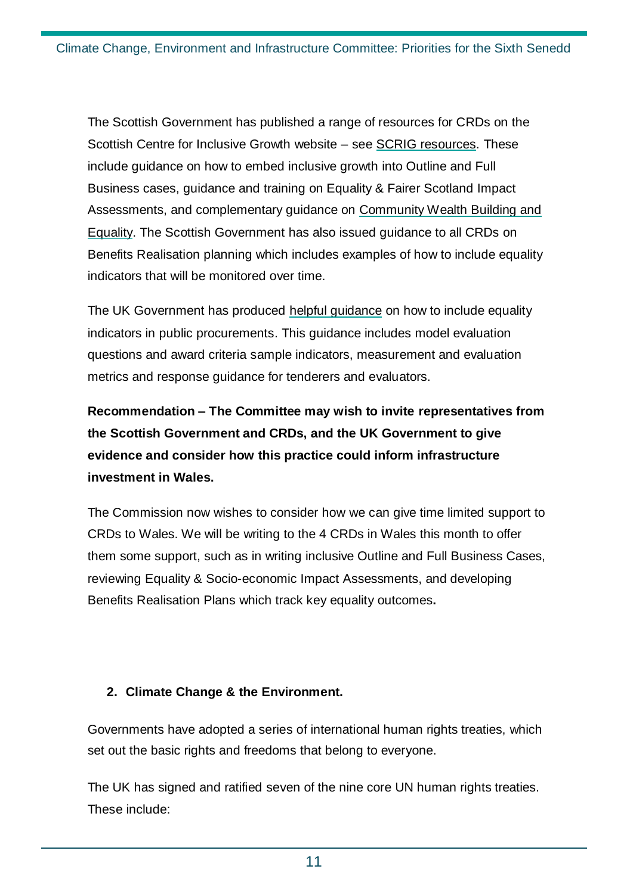The Scottish Government has published a range of resources for CRDs on the Scottish Centre for Inclusive Growth website – see [SCRIG resources.](https://www.inclusivegrowth.scot/resources/) These include guidance on how to embed inclusive growth into Outline and Full Business cases, guidance and training on Equality & Fairer Scotland Impact Assessments, and complementary guidance on [Community Wealth Building and](https://www.inclusivegrowth.scot/resources/community-wealth-building/2020/08/community-wealth-building-inclusive-growth-city-regional-deals-a-practice-note/)  [Equality.](https://www.inclusivegrowth.scot/resources/community-wealth-building/2020/08/community-wealth-building-inclusive-growth-city-regional-deals-a-practice-note/) The Scottish Government has also issued guidance to all CRDs on Benefits Realisation planning which includes examples of how to include equality indicators that will be monitored over time.

The UK Government has produced [helpful guidance](https://assets.publishing.service.gov.uk/government/uploads/system/uploads/attachment_data/file/940828/Social-Value-Model-Quick-Reference-Table-Edn-1.1-3-Dec-20.pdf) on how to include equality indicators in public procurements. This guidance includes model evaluation questions and award criteria sample indicators, measurement and evaluation metrics and response guidance for tenderers and evaluators.

**Recommendation – The Committee may wish to invite representatives from the Scottish Government and CRDs, and the UK Government to give evidence and consider how this practice could inform infrastructure investment in Wales.** 

The Commission now wishes to consider how we can give time limited support to CRDs to Wales. We will be writing to the 4 CRDs in Wales this month to offer them some support, such as in writing inclusive Outline and Full Business Cases, reviewing Equality & Socio-economic Impact Assessments, and developing Benefits Realisation Plans which track key equality outcomes**.** 

#### **2. Climate Change & the Environment.**

Governments have adopted a series of international human rights treaties, which set out the basic rights and freedoms that belong to everyone.

The UK has signed and ratified seven of the nine core UN human rights treaties. These include: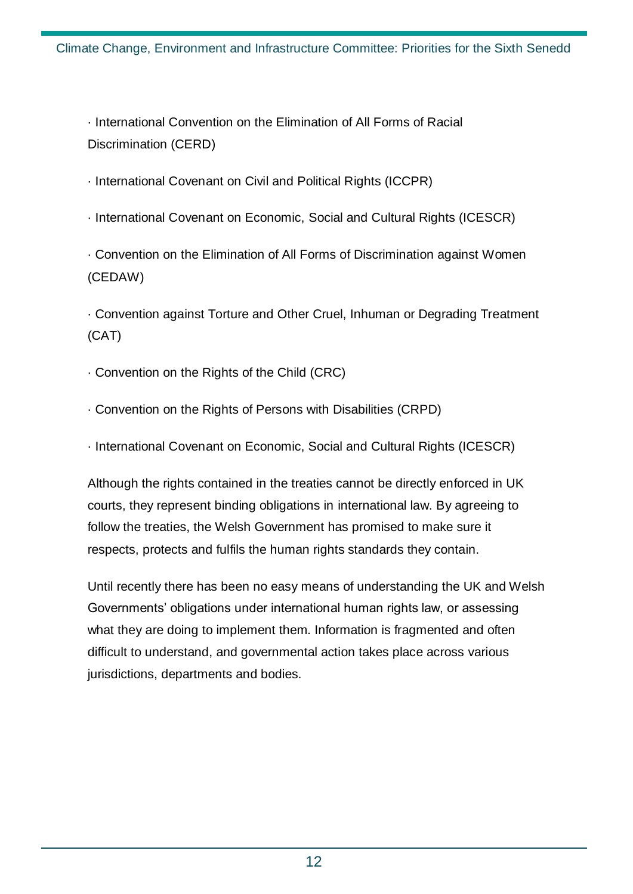· International Convention on the Elimination of All Forms of Racial Discrimination (CERD)

- · International Covenant on Civil and Political Rights (ICCPR)
- · International Covenant on Economic, Social and Cultural Rights (ICESCR)

· Convention on the Elimination of All Forms of Discrimination against Women (CEDAW)

· Convention against Torture and Other Cruel, Inhuman or Degrading Treatment (CAT)

- · Convention on the Rights of the Child (CRC)
- · Convention on the Rights of Persons with Disabilities (CRPD)
- · International Covenant on Economic, Social and Cultural Rights (ICESCR)

Although the rights contained in the treaties cannot be directly enforced in UK courts, they represent binding obligations in international law. By agreeing to follow the treaties, the Welsh Government has promised to make sure it respects, protects and fulfils the human rights standards they contain.

Until recently there has been no easy means of understanding the UK and Welsh Governments' obligations under international human rights law, or assessing what they are doing to implement them. Information is fragmented and often difficult to understand, and governmental action takes place across various jurisdictions, departments and bodies.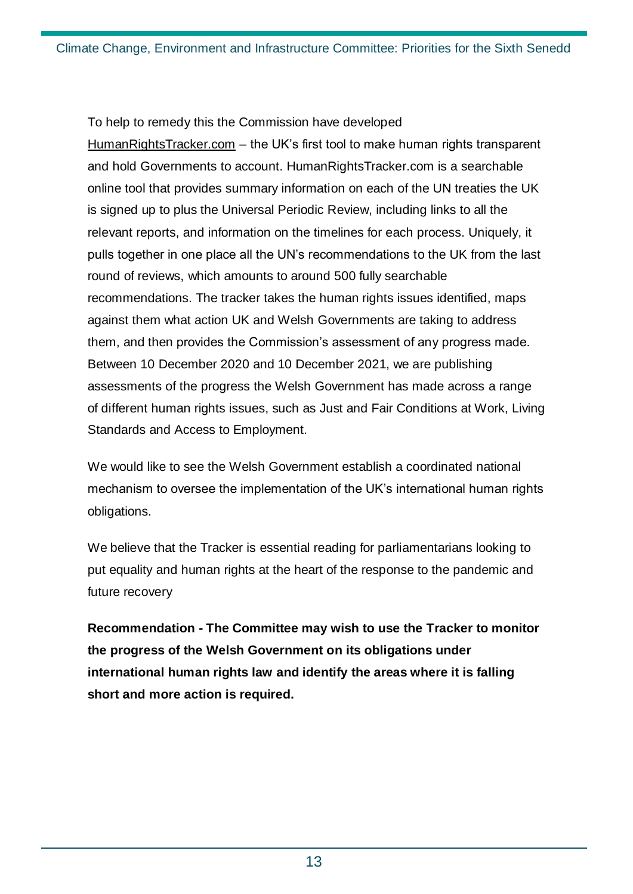To help to remedy this the Commission have developed [HumanRightsTracker.com](https://humanrightstracker.com/en/) – the UK's first tool to make human rights transparent and hold Governments to account. HumanRightsTracker.com is a searchable online tool that provides summary information on each of the UN treaties the UK is signed up to plus the Universal Periodic Review, including links to all the relevant reports, and information on the timelines for each process. Uniquely, it pulls together in one place all the UN's recommendations to the UK from the last round of reviews, which amounts to around 500 fully searchable recommendations. The tracker takes the human rights issues identified, maps against them what action UK and Welsh Governments are taking to address them, and then provides the Commission's assessment of any progress made. Between 10 December 2020 and 10 December 2021, we are publishing assessments of the progress the Welsh Government has made across a range of different human rights issues, such as Just and Fair Conditions at Work, Living Standards and Access to Employment.

We would like to see the Welsh Government establish a coordinated national mechanism to oversee the implementation of the UK's international human rights obligations.

We believe that the Tracker is essential reading for parliamentarians looking to put equality and human rights at the heart of the response to the pandemic and future recovery

**Recommendation - The Committee may wish to use the Tracker to monitor the progress of the Welsh Government on its obligations under international human rights law and identify the areas where it is falling short and more action is required.**